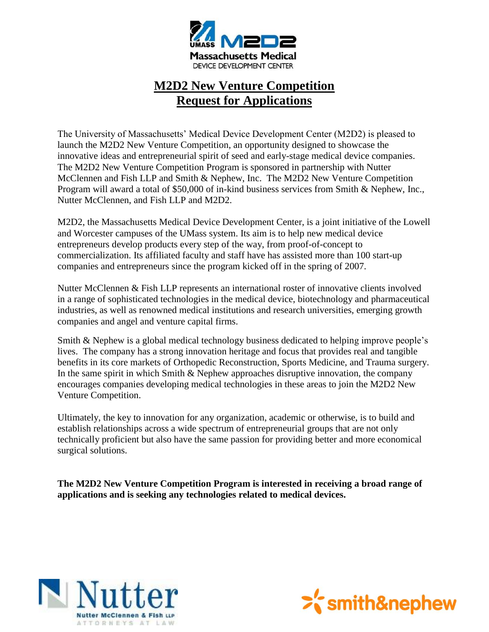

# **M2D2 New Venture Competition Request for Applications**

The University of Massachusetts' Medical Device Development Center (M2D2) is pleased to launch the M2D2 New Venture Competition, an opportunity designed to showcase the innovative ideas and entrepreneurial spirit of seed and early-stage medical device companies. The M2D2 New Venture Competition Program is sponsored in partnership with Nutter McClennen and Fish LLP and Smith & Nephew, Inc. The M2D2 New Venture Competition Program will award a total of \$50,000 of in-kind business services from Smith & Nephew, Inc., Nutter McClennen, and Fish LLP and M2D2.

M2D2, the Massachusetts Medical Device Development Center, is a joint initiative of the Lowell and Worcester campuses of the UMass system. Its aim is to help new medical device entrepreneurs develop products every step of the way, from proof-of-concept to commercialization. Its affiliated faculty and staff have has assisted more than 100 start-up companies and entrepreneurs since the program kicked off in the spring of 2007.

Nutter McClennen & Fish LLP represents an international roster of innovative clients involved in a range of sophisticated technologies in the medical device, biotechnology and pharmaceutical industries, as well as renowned medical institutions and research universities, emerging growth companies and angel and venture capital firms.

Smith & Nephew is a global medical technology business dedicated to helping improve people's lives. The company has a strong innovation heritage and focus that provides real and tangible benefits in its core markets of Orthopedic Reconstruction, Sports Medicine, and Trauma surgery. In the same spirit in which Smith & Nephew approaches disruptive innovation, the company encourages companies developing medical technologies in these areas to join the M2D2 New Venture Competition.

Ultimately, the key to innovation for any organization, academic or otherwise, is to build and establish relationships across a wide spectrum of entrepreneurial groups that are not only technically proficient but also have the same passion for providing better and more economical surgical solutions.

**The M2D2 New Venture Competition Program is interested in receiving a broad range of applications and is seeking any technologies related to medical devices.**



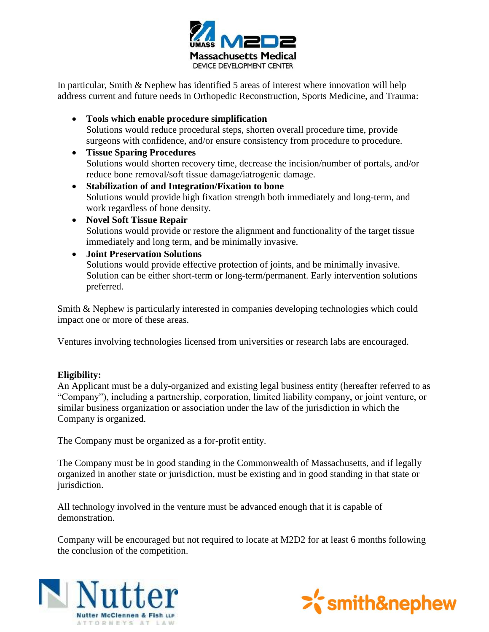

In particular, Smith & Nephew has identified 5 areas of interest where innovation will help address current and future needs in Orthopedic Reconstruction, Sports Medicine, and Trauma:

- **Tools which enable procedure simplification** Solutions would reduce procedural steps, shorten overall procedure time, provide surgeons with confidence, and/or ensure consistency from procedure to procedure.
- **Tissue Sparing Procedures** Solutions would shorten recovery time, decrease the incision/number of portals, and/or reduce bone removal/soft tissue damage/iatrogenic damage.
- **Stabilization of and Integration/Fixation to bone** Solutions would provide high fixation strength both immediately and long-term, and work regardless of bone density.
- **Novel Soft Tissue Repair** Solutions would provide or restore the alignment and functionality of the target tissue immediately and long term, and be minimally invasive.
- **Joint Preservation Solutions** Solutions would provide effective protection of joints, and be minimally invasive. Solution can be either short-term or long-term/permanent. Early intervention solutions preferred.

Smith & Nephew is particularly interested in companies developing technologies which could impact one or more of these areas.

Ventures involving technologies licensed from universities or research labs are encouraged.

## **Eligibility:**

An Applicant must be a duly-organized and existing legal business entity (hereafter referred to as "Company"), including a partnership, corporation, limited liability company, or joint venture, or similar business organization or association under the law of the jurisdiction in which the Company is organized.

The Company must be organized as a for-profit entity.

The Company must be in good standing in the Commonwealth of Massachusetts, and if legally organized in another state or jurisdiction, must be existing and in good standing in that state or jurisdiction.

All technology involved in the venture must be advanced enough that it is capable of demonstration.

Company will be encouraged but not required to locate at M2D2 for at least 6 months following the conclusion of the competition.



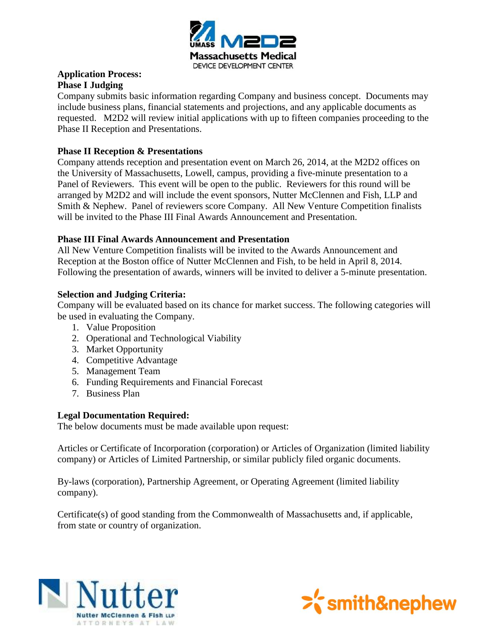

## **Application Process: Phase I Judging**

Company submits basic information regarding Company and business concept. Documents may include business plans, financial statements and projections, and any applicable documents as requested. M2D2 will review initial applications with up to fifteen companies proceeding to the Phase II Reception and Presentations.

## **Phase II Reception & Presentations**

Company attends reception and presentation event on March 26, 2014, at the M2D2 offices on the University of Massachusetts, Lowell, campus, providing a five-minute presentation to a Panel of Reviewers. This event will be open to the public. Reviewers for this round will be arranged by M2D2 and will include the event sponsors, Nutter McClennen and Fish, LLP and Smith & Nephew. Panel of reviewers score Company. All New Venture Competition finalists will be invited to the Phase III Final Awards Announcement and Presentation.

## **Phase III Final Awards Announcement and Presentation**

All New Venture Competition finalists will be invited to the Awards Announcement and Reception at the Boston office of Nutter McClennen and Fish, to be held in April 8, 2014. Following the presentation of awards, winners will be invited to deliver a 5-minute presentation.

## **Selection and Judging Criteria:**

Company will be evaluated based on its chance for market success. The following categories will be used in evaluating the Company.

- 1. Value Proposition
- 2. Operational and Technological Viability
- 3. Market Opportunity
- 4. Competitive Advantage
- 5. Management Team
- 6. Funding Requirements and Financial Forecast
- 7. Business Plan

#### **Legal Documentation Required:**

The below documents must be made available upon request:

Articles or Certificate of Incorporation (corporation) or Articles of Organization (limited liability company) or Articles of Limited Partnership, or similar publicly filed organic documents.

By-laws (corporation), Partnership Agreement, or Operating Agreement (limited liability company).

Certificate(s) of good standing from the Commonwealth of Massachusetts and, if applicable, from state or country of organization.